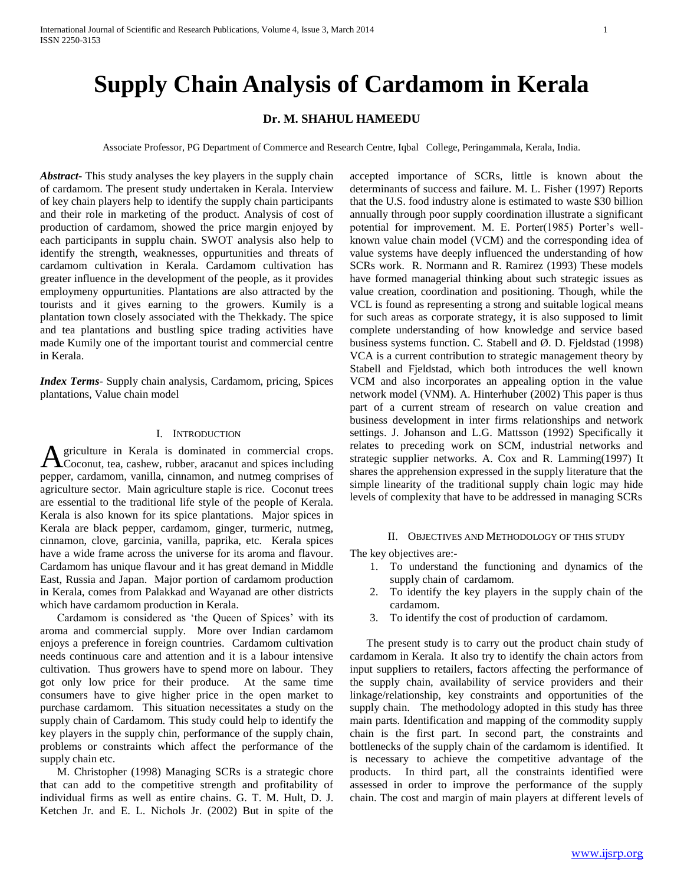# **Supply Chain Analysis of Cardamom in Kerala**

# **Dr. M. SHAHUL HAMEEDU**

Associate Professor, PG Department of Commerce and Research Centre, Iqbal College, Peringammala, Kerala, India.

*Abstract***-** This study analyses the key players in the supply chain of cardamom. The present study undertaken in Kerala. Interview of key chain players help to identify the supply chain participants and their role in marketing of the product. Analysis of cost of production of cardamom, showed the price margin enjoyed by each participants in supplu chain. SWOT analysis also help to identify the strength, weaknesses, oppurtunities and threats of cardamom cultivation in Kerala. Cardamom cultivation has greater influence in the development of the people, as it provides employmeny oppurtunities. Plantations are also attracted by the tourists and it gives earning to the growers. Kumily is a plantation town closely associated with the Thekkady. The spice and tea plantations and bustling spice trading activities have made Kumily one of the important tourist and commercial centre in Kerala.

*Index Terms*- Supply chain analysis, Cardamom, pricing, Spices plantations, Value chain model

#### I. INTRODUCTION

griculture in Kerala is dominated in commercial crops. A griculture in Kerala is dominated in commercial crops.<br>
Coconut, tea, cashew, rubber, aracanut and spices including pepper, cardamom, vanilla, cinnamon, and nutmeg comprises of agriculture sector. Main agriculture staple is rice. Coconut trees are essential to the traditional life style of the people of Kerala. Kerala is also known for its spice plantations. Major spices in Kerala are black pepper, cardamom, ginger, turmeric, nutmeg, cinnamon, clove, garcinia, vanilla, paprika, etc. Kerala spices have a wide frame across the universe for its aroma and flavour. Cardamom has unique flavour and it has great demand in Middle East, Russia and Japan. Major portion of cardamom production in Kerala, comes from Palakkad and Wayanad are other districts which have cardamom production in Kerala.

 Cardamom is considered as 'the Queen of Spices' with its aroma and commercial supply. More over Indian cardamom enjoys a preference in foreign countries. Cardamom cultivation needs continuous care and attention and it is a labour intensive cultivation. Thus growers have to spend more on labour. They got only low price for their produce. At the same time consumers have to give higher price in the open market to purchase cardamom. This situation necessitates a study on the supply chain of Cardamom. This study could help to identify the key players in the supply chin, performance of the supply chain, problems or constraints which affect the performance of the supply chain etc.

 M. Christopher (1998) Managing SCRs is a strategic chore that can add to the competitive strength and profitability of individual firms as well as entire chains. G. T. M. Hult, D. J. Ketchen Jr. and E. L. Nichols Jr. (2002) But in spite of the

accepted importance of SCRs, little is known about the determinants of success and failure. M. L. Fisher (1997) Reports that the U.S. food industry alone is estimated to waste \$30 billion annually through poor supply coordination illustrate a significant potential for improvement. M. E. Porter(1985) Porter's wellknown value chain model (VCM) and the corresponding idea of value systems have deeply influenced the understanding of how SCRs work. R. Normann and R. Ramirez (1993) These models have formed managerial thinking about such strategic issues as value creation, coordination and positioning. Though, while the VCL is found as representing a strong and suitable logical means for such areas as corporate strategy, it is also supposed to limit complete understanding of how knowledge and service based business systems function. C. Stabell and Ø. D. Fjeldstad (1998) VCA is a current contribution to strategic management theory by Stabell and Fjeldstad, which both introduces the well known VCM and also incorporates an appealing option in the value network model (VNM). A. Hinterhuber (2002) This paper is thus part of a current stream of research on value creation and business development in inter firms relationships and network settings. J. Johanson and L.G. Mattsson (1992) Specifically it relates to preceding work on SCM, industrial networks and strategic supplier networks. A. Cox and R. Lamming(1997) It shares the apprehension expressed in the supply literature that the simple linearity of the traditional supply chain logic may hide levels of complexity that have to be addressed in managing SCRs

## II. OBJECTIVES AND METHODOLOGY OF THIS STUDY

The key objectives are:-

- 1. To understand the functioning and dynamics of the supply chain of cardamom.
- 2. To identify the key players in the supply chain of the cardamom.
- 3. To identify the cost of production of cardamom.

 The present study is to carry out the product chain study of cardamom in Kerala. It also try to identify the chain actors from input suppliers to retailers, factors affecting the performance of the supply chain, availability of service providers and their linkage/relationship, key constraints and opportunities of the supply chain. The methodology adopted in this study has three main parts. Identification and mapping of the commodity supply chain is the first part. In second part, the constraints and bottlenecks of the supply chain of the cardamom is identified. It is necessary to achieve the competitive advantage of the products. In third part, all the constraints identified were assessed in order to improve the performance of the supply chain. The cost and margin of main players at different levels of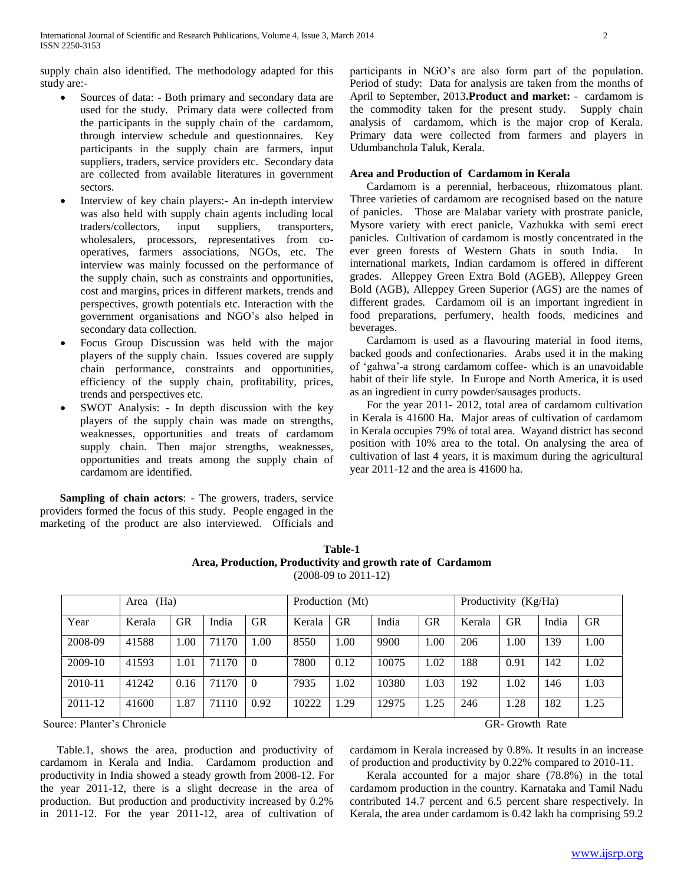supply chain also identified. The methodology adapted for this study are:-

- Sources of data: Both primary and secondary data are used for the study. Primary data were collected from the participants in the supply chain of the cardamom, through interview schedule and questionnaires. Key participants in the supply chain are farmers, input suppliers, traders, service providers etc. Secondary data are collected from available literatures in government sectors.
- Interview of key chain players:- An in-depth interview was also held with supply chain agents including local traders/collectors, input suppliers, transporters, wholesalers, processors, representatives from cooperatives, farmers associations, NGOs, etc. The interview was mainly focussed on the performance of the supply chain, such as constraints and opportunities, cost and margins, prices in different markets, trends and perspectives, growth potentials etc. Interaction with the government organisations and NGO's also helped in secondary data collection.
- Focus Group Discussion was held with the major players of the supply chain. Issues covered are supply chain performance, constraints and opportunities, efficiency of the supply chain, profitability, prices, trends and perspectives etc.
- SWOT Analysis: In depth discussion with the key players of the supply chain was made on strengths, weaknesses, opportunities and treats of cardamom supply chain. Then major strengths, weaknesses, opportunities and treats among the supply chain of cardamom are identified.

 **Sampling of chain actors**: - The growers, traders, service providers formed the focus of this study. People engaged in the marketing of the product are also interviewed. Officials and participants in NGO's are also form part of the population. Period of study:Data for analysis are taken from the months of April to September, 2013**.Product and market:** - cardamom is the commodity taken for the present study. Supply chain analysis of cardamom, which is the major crop of Kerala. Primary data were collected from farmers and players in Udumbanchola Taluk, Kerala.

# **Area and Production of Cardamom in Kerala**

 Cardamom is a perennial, herbaceous, rhizomatous plant. Three varieties of cardamom are recognised based on the nature of panicles. Those are Malabar variety with prostrate panicle, Mysore variety with erect panicle, Vazhukka with semi erect panicles. Cultivation of cardamom is mostly concentrated in the ever green forests of Western Ghats in south India. In international markets, Indian cardamom is offered in different grades. Alleppey Green Extra Bold (AGEB), Alleppey Green Bold (AGB), Alleppey Green Superior (AGS) are the names of different grades. Cardamom oil is an important ingredient in food preparations, perfumery, health foods, medicines and beverages.

 Cardamom is used as a flavouring material in food items, backed goods and confectionaries. Arabs used it in the making of 'gahwa'-a strong cardamom coffee- which is an unavoidable habit of their life style. In Europe and North America, it is used as an ingredient in curry powder/sausages products.

 For the year 2011- 2012, total area of cardamom cultivation in Kerala is 41600 Ha. Major areas of cultivation of cardamom in Kerala occupies 79% of total area. Wayand district has second position with 10% area to the total. On analysing the area of cultivation of last 4 years, it is maximum during the agricultural year 2011-12 and the area is 41600 ha.

| Table-1                                                    |  |  |  |  |  |  |  |
|------------------------------------------------------------|--|--|--|--|--|--|--|
| Area, Production, Productivity and growth rate of Cardamom |  |  |  |  |  |  |  |
| $(2008-09)$ to $2011-12$                                   |  |  |  |  |  |  |  |

|             | (Ha)<br>Area |           |       |           | Production (Mt) |           |       |           | Productivity (Kg/Ha) |           |       |           |
|-------------|--------------|-----------|-------|-----------|-----------------|-----------|-------|-----------|----------------------|-----------|-------|-----------|
| Year        | Kerala       | <b>GR</b> | India | <b>GR</b> | Kerala          | <b>GR</b> | India | <b>GR</b> | Kerala               | <b>GR</b> | India | <b>GR</b> |
| 2008-09     | 41588        | 1.00      | 71170 | 00.       | 8550            | 1.00      | 9900  | 1.00      | 206                  | 1.00      | 139   | 1.00      |
| 2009-10     | 41593        | 1.01      | 71170 | $\theta$  | 7800            | 0.12      | 10075 | 1.02      | 188                  | 0.91      | 142   | 1.02      |
| $2010 - 11$ | 41242        | 0.16      | 71170 | $\theta$  | 7935            | 1.02      | 10380 | 1.03      | 192                  | 1.02      | 146   | 1.03      |
| $2011 - 12$ | 41600        | 1.87      | 71110 | 0.92      | 10222           | 1.29      | 12975 | 1.25      | 246                  | 1.28      | 182   | 1.25      |

Source: Planter's Chronicle GR- Growth Rate GR- Growth Rate

 Table.1, shows the area, production and productivity of cardamom in Kerala and India. Cardamom production and productivity in India showed a steady growth from 2008-12. For the year 2011-12, there is a slight decrease in the area of production. But production and productivity increased by 0.2% in 2011-12. For the year 2011-12, area of cultivation of

cardamom in Kerala increased by 0.8%. It results in an increase of production and productivity by 0.22% compared to 2010-11.

 Kerala accounted for a major share (78.8%) in the total cardamom production in the country. Karnataka and Tamil Nadu contributed 14.7 percent and 6.5 percent share respectively. In Kerala, the area under cardamom is 0.42 lakh ha comprising 59.2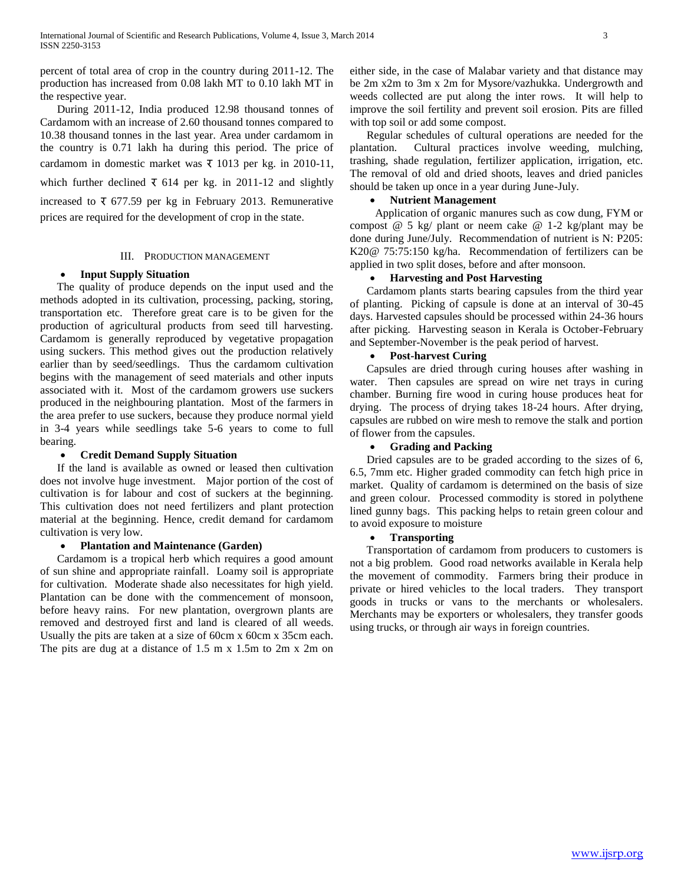percent of total area of crop in the country during 2011-12. The production has increased from 0.08 lakh MT to 0.10 lakh MT in the respective year.

 During 2011-12, India produced 12.98 thousand tonnes of Cardamom with an increase of 2.60 thousand tonnes compared to 10.38 thousand tonnes in the last year. Area under cardamom in the country is 0.71 lakh ha during this period. The price of cardamom in domestic market was  $\bar{x}$  1013 per kg. in 2010-11, which further declined  $\bar{x}$  614 per kg. in 2011-12 and slightly increased to  $\bar{x}$  677.59 per kg in February 2013. Remunerative prices are required for the development of crop in the state.

## III. PRODUCTION MANAGEMENT

## **Input Supply Situation**

 The quality of produce depends on the input used and the methods adopted in its cultivation, processing, packing, storing, transportation etc. Therefore great care is to be given for the production of agricultural products from seed till harvesting. Cardamom is generally reproduced by vegetative propagation using suckers. This method gives out the production relatively earlier than by seed/seedlings. Thus the cardamom cultivation begins with the management of seed materials and other inputs associated with it. Most of the cardamom growers use suckers produced in the neighbouring plantation. Most of the farmers in the area prefer to use suckers, because they produce normal yield in 3-4 years while seedlings take 5-6 years to come to full bearing.

#### **Credit Demand Supply Situation**

 If the land is available as owned or leased then cultivation does not involve huge investment. Major portion of the cost of cultivation is for labour and cost of suckers at the beginning. This cultivation does not need fertilizers and plant protection material at the beginning. Hence, credit demand for cardamom cultivation is very low.

#### **Plantation and Maintenance (Garden)**

 Cardamom is a tropical herb which requires a good amount of sun shine and appropriate rainfall. Loamy soil is appropriate for cultivation. Moderate shade also necessitates for high yield. Plantation can be done with the commencement of monsoon, before heavy rains. For new plantation, overgrown plants are removed and destroyed first and land is cleared of all weeds. Usually the pits are taken at a size of 60cm x 60cm x 35cm each. The pits are dug at a distance of 1.5 m x 1.5m to 2m x 2m on

either side, in the case of Malabar variety and that distance may be 2m x2m to 3m x 2m for Mysore/vazhukka. Undergrowth and weeds collected are put along the inter rows. It will help to improve the soil fertility and prevent soil erosion. Pits are filled with top soil or add some compost.

 Regular schedules of cultural operations are needed for the plantation. Cultural practices involve weeding, mulching, trashing, shade regulation, fertilizer application, irrigation, etc. The removal of old and dried shoots, leaves and dried panicles should be taken up once in a year during June-July.

## **Nutrient Management**

 Application of organic manures such as cow dung, FYM or compost @ 5 kg/ plant or neem cake @ 1-2 kg/plant may be done during June/July. Recommendation of nutrient is N: P205: K20@ 75:75:150 kg/ha. Recommendation of fertilizers can be applied in two split doses, before and after monsoon.

# **Harvesting and Post Harvesting**

 Cardamom plants starts bearing capsules from the third year of planting. Picking of capsule is done at an interval of 30-45 days. Harvested capsules should be processed within 24-36 hours after picking. Harvesting season in Kerala is October-February and September-November is the peak period of harvest.

## **Post-harvest Curing**

 Capsules are dried through curing houses after washing in water. Then capsules are spread on wire net trays in curing chamber. Burning fire wood in curing house produces heat for drying. The process of drying takes 18-24 hours. After drying, capsules are rubbed on wire mesh to remove the stalk and portion of flower from the capsules.

# **Grading and Packing**

 Dried capsules are to be graded according to the sizes of 6, 6.5, 7mm etc. Higher graded commodity can fetch high price in market. Quality of cardamom is determined on the basis of size and green colour. Processed commodity is stored in polythene lined gunny bags. This packing helps to retain green colour and to avoid exposure to moisture

## **Transporting**

 Transportation of cardamom from producers to customers is not a big problem. Good road networks available in Kerala help the movement of commodity. Farmers bring their produce in private or hired vehicles to the local traders. They transport goods in trucks or vans to the merchants or wholesalers. Merchants may be exporters or wholesalers, they transfer goods using trucks, or through air ways in foreign countries.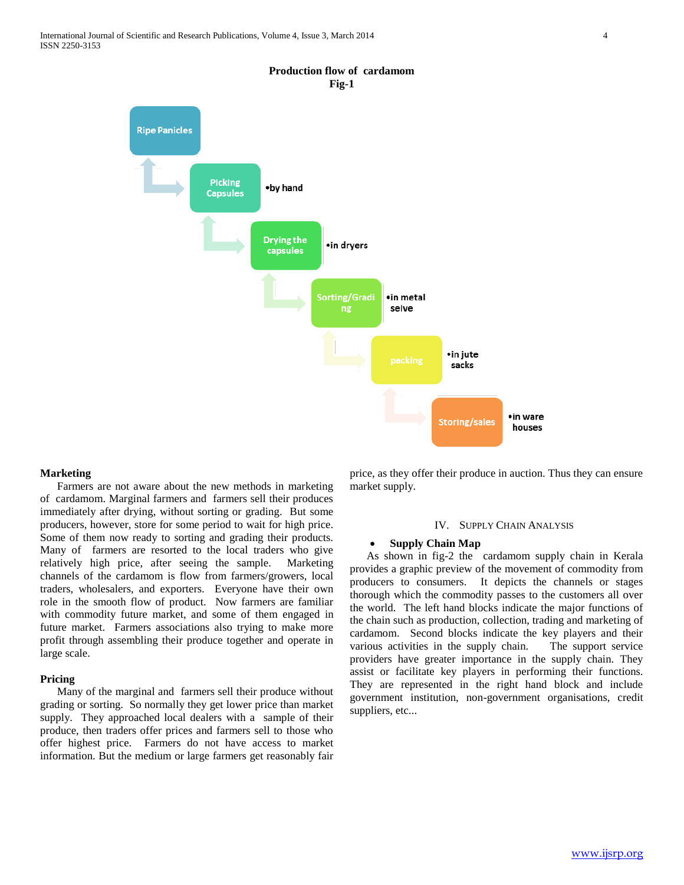

### **Production flow of cardamom Fig-1**

#### **Marketing**

 Farmers are not aware about the new methods in marketing of cardamom. Marginal farmers and farmers sell their produces immediately after drying, without sorting or grading. But some producers, however, store for some period to wait for high price. Some of them now ready to sorting and grading their products. Many of farmers are resorted to the local traders who give relatively high price, after seeing the sample. Marketing channels of the cardamom is flow from farmers/growers, local traders, wholesalers, and exporters. Everyone have their own role in the smooth flow of product. Now farmers are familiar with commodity future market, and some of them engaged in future market. Farmers associations also trying to make more profit through assembling their produce together and operate in large scale.

#### **Pricing**

 Many of the marginal and farmers sell their produce without grading or sorting. So normally they get lower price than market supply. They approached local dealers with a sample of their produce, then traders offer prices and farmers sell to those who offer highest price. Farmers do not have access to market information. But the medium or large farmers get reasonably fair

price, as they offer their produce in auction. Thus they can ensure market supply.

## IV. SUPPLY CHAIN ANALYSIS

## **Supply Chain Map**

 As shown in fig-2 the cardamom supply chain in Kerala provides a graphic preview of the movement of commodity from producers to consumers. It depicts the channels or stages thorough which the commodity passes to the customers all over the world. The left hand blocks indicate the major functions of the chain such as production, collection, trading and marketing of cardamom. Second blocks indicate the key players and their various activities in the supply chain. The support service providers have greater importance in the supply chain. They assist or facilitate key players in performing their functions. They are represented in the right hand block and include government institution, non-government organisations, credit suppliers, etc...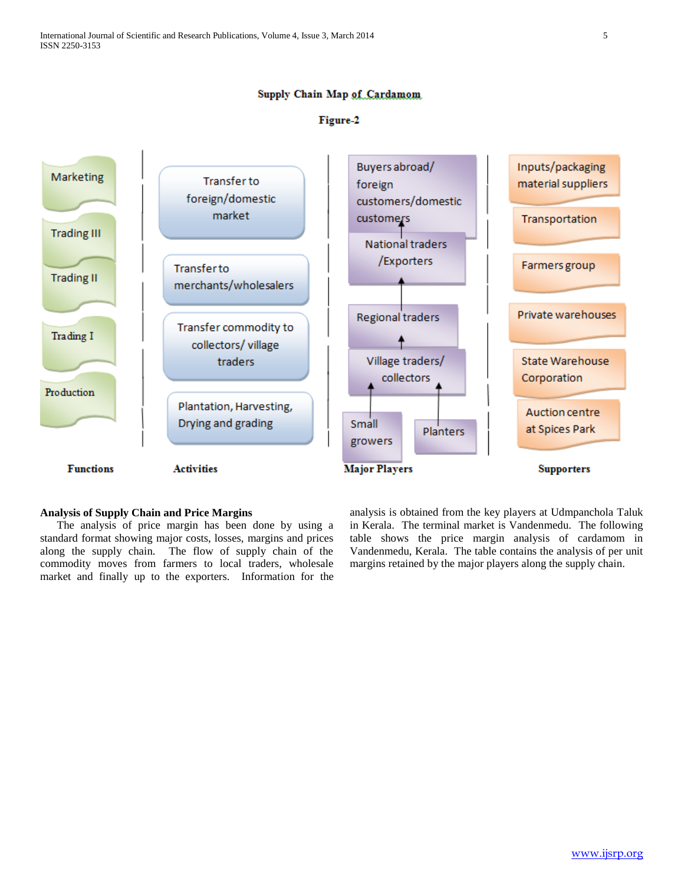# Supply Chain Map of Cardamom

# Figure-2



# **Analysis of Supply Chain and Price Margins**

 The analysis of price margin has been done by using a standard format showing major costs, losses, margins and prices along the supply chain. The flow of supply chain of the commodity moves from farmers to local traders, wholesale market and finally up to the exporters. Information for the analysis is obtained from the key players at Udmpanchola Taluk in Kerala. The terminal market is Vandenmedu. The following table shows the price margin analysis of cardamom in Vandenmedu, Kerala. The table contains the analysis of per unit margins retained by the major players along the supply chain.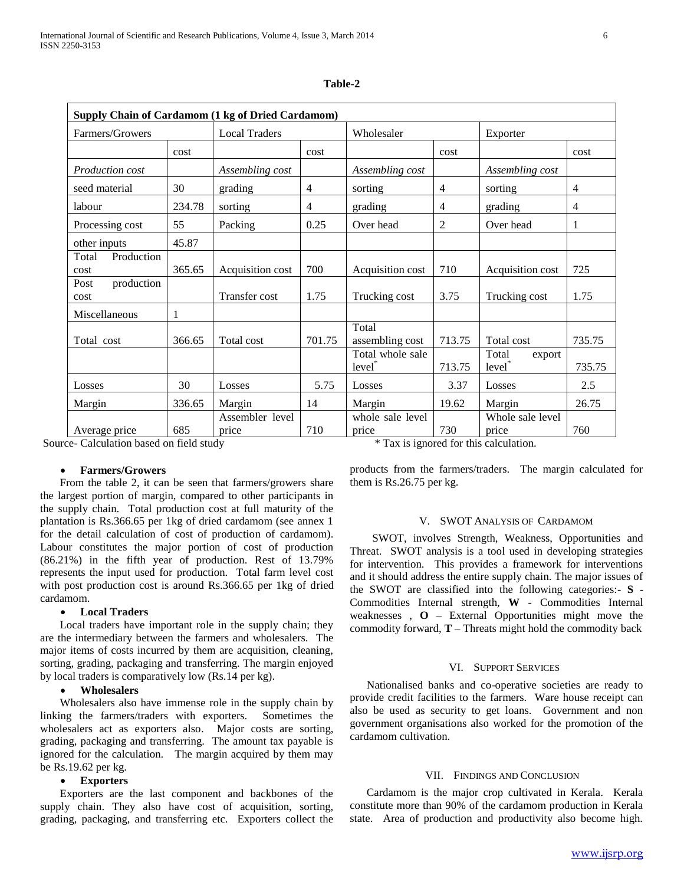| Supply Chain of Cardamom (1 kg of Dried Cardamom) |        |                          |                |                               |        |                              |        |  |  |
|---------------------------------------------------|--------|--------------------------|----------------|-------------------------------|--------|------------------------------|--------|--|--|
| Farmers/Growers                                   |        | <b>Local Traders</b>     |                | Wholesaler                    |        | Exporter                     |        |  |  |
|                                                   | cost   |                          | cost           |                               | cost   |                              | cost   |  |  |
| <i>Production cost</i>                            |        | Assembling cost          |                | Assembling cost               |        | Assembling cost              |        |  |  |
| seed material                                     | 30     | grading                  | $\overline{4}$ | sorting                       | 4      | sorting                      | 4      |  |  |
| labour                                            | 234.78 | sorting                  | $\overline{4}$ | grading                       | 4      | grading                      | 4      |  |  |
| Processing cost                                   | 55     | Packing                  | 0.25           | Over head                     | 2      | Over head                    | 1      |  |  |
| other inputs                                      | 45.87  |                          |                |                               |        |                              |        |  |  |
| Total<br>Production<br>cost                       | 365.65 | Acquisition cost         | 700            | Acquisition cost              | 710    | Acquisition cost             | 725    |  |  |
| Post<br>production<br>cost                        |        | Transfer cost            | 1.75           | Trucking cost                 | 3.75   | Trucking cost                | 1.75   |  |  |
| Miscellaneous                                     | 1      |                          |                |                               |        |                              |        |  |  |
| Total cost                                        | 366.65 | Total cost               | 701.75         | Total<br>assembling cost      | 713.75 | Total cost                   | 735.75 |  |  |
|                                                   |        |                          |                | Total whole sale<br>$level^*$ | 713.75 | Total<br>export<br>$level^*$ | 735.75 |  |  |
| Losses                                            | 30     | Losses                   | 5.75           | Losses                        | 3.37   | Losses                       | 2.5    |  |  |
| Margin                                            | 336.65 | Margin                   | 14             | Margin                        | 19.62  | Margin                       | 26.75  |  |  |
| Average price                                     | 685    | Assembler level<br>price | 710            | whole sale level<br>price     | 730    | Whole sale level<br>price    | 760    |  |  |

#### **Table-2**

Source- Calculation based on field study \* Tax is ignored for this calculation.

## **Farmers/Growers**

 From the table 2, it can be seen that farmers/growers share the largest portion of margin, compared to other participants in the supply chain. Total production cost at full maturity of the plantation is Rs.366.65 per 1kg of dried cardamom (see annex 1 for the detail calculation of cost of production of cardamom). Labour constitutes the major portion of cost of production (86.21%) in the fifth year of production. Rest of 13.79% represents the input used for production. Total farm level cost with post production cost is around Rs.366.65 per 1kg of dried cardamom.

#### **Local Traders**

 Local traders have important role in the supply chain; they are the intermediary between the farmers and wholesalers. The major items of costs incurred by them are acquisition, cleaning, sorting, grading, packaging and transferring. The margin enjoyed by local traders is comparatively low (Rs.14 per kg).

#### **Wholesalers**

 Wholesalers also have immense role in the supply chain by linking the farmers/traders with exporters. Sometimes the wholesalers act as exporters also. Major costs are sorting, grading, packaging and transferring. The amount tax payable is ignored for the calculation. The margin acquired by them may be Rs.19.62 per kg.

#### **Exporters**

 Exporters are the last component and backbones of the supply chain. They also have cost of acquisition, sorting, grading, packaging, and transferring etc. Exporters collect the

products from the farmers/traders. The margin calculated for them is Rs.26.75 per kg.

## V. SWOT ANALYSIS OF CARDAMOM

 SWOT, involves Strength, Weakness, Opportunities and Threat. SWOT analysis is a tool used in developing strategies for intervention. This provides a framework for interventions and it should address the entire supply chain. The major issues of the SWOT are classified into the following categories:- **S** - Commodities Internal strength, **W** - Commodities Internal weaknesses  $\overline{O}$  – External Opportunities might move the commodity forward,  $T -$ Threats might hold the commodity back

#### VI. SUPPORT SERVICES

 Nationalised banks and co-operative societies are ready to provide credit facilities to the farmers. Ware house receipt can also be used as security to get loans. Government and non government organisations also worked for the promotion of the cardamom cultivation.

#### VII. FINDINGS AND CONCLUSION

 Cardamom is the major crop cultivated in Kerala. Kerala constitute more than 90% of the cardamom production in Kerala state. Area of production and productivity also become high.